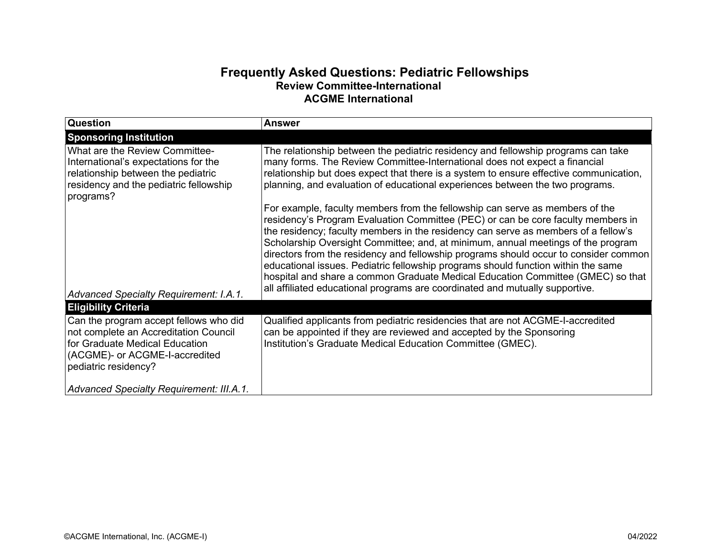## **Frequently Asked Questions: Pediatric Fellowships Review Committee-International ACGME International**

| <b>Question</b>                                                                                                                                                             | Answer                                                                                                                                                                                                                                                                                                                                                                                                                                                                                                                                                                                                                                                                                     |
|-----------------------------------------------------------------------------------------------------------------------------------------------------------------------------|--------------------------------------------------------------------------------------------------------------------------------------------------------------------------------------------------------------------------------------------------------------------------------------------------------------------------------------------------------------------------------------------------------------------------------------------------------------------------------------------------------------------------------------------------------------------------------------------------------------------------------------------------------------------------------------------|
| <b>Sponsoring Institution</b>                                                                                                                                               |                                                                                                                                                                                                                                                                                                                                                                                                                                                                                                                                                                                                                                                                                            |
| <b>What are the Review Committee-</b><br>International's expectations for the<br>relationship between the pediatric<br>residency and the pediatric fellowship<br>programs?  | The relationship between the pediatric residency and fellowship programs can take<br>many forms. The Review Committee-International does not expect a financial<br>relationship but does expect that there is a system to ensure effective communication,<br>planning, and evaluation of educational experiences between the two programs.                                                                                                                                                                                                                                                                                                                                                 |
| Advanced Specialty Requirement: I.A.1.                                                                                                                                      | For example, faculty members from the fellowship can serve as members of the<br>residency's Program Evaluation Committee (PEC) or can be core faculty members in<br>the residency; faculty members in the residency can serve as members of a fellow's<br>Scholarship Oversight Committee; and, at minimum, annual meetings of the program<br>directors from the residency and fellowship programs should occur to consider common<br>educational issues. Pediatric fellowship programs should function within the same<br>hospital and share a common Graduate Medical Education Committee (GMEC) so that<br>all affiliated educational programs are coordinated and mutually supportive. |
| <b>Eligibility Criteria</b>                                                                                                                                                 |                                                                                                                                                                                                                                                                                                                                                                                                                                                                                                                                                                                                                                                                                            |
| Can the program accept fellows who did<br>not complete an Accreditation Council<br>for Graduate Medical Education<br>(ACGME)- or ACGME-I-accredited<br>pediatric residency? | Qualified applicants from pediatric residencies that are not ACGME-I-accredited<br>can be appointed if they are reviewed and accepted by the Sponsoring<br>Institution's Graduate Medical Education Committee (GMEC).                                                                                                                                                                                                                                                                                                                                                                                                                                                                      |
| Advanced Specialty Requirement: III.A.1.                                                                                                                                    |                                                                                                                                                                                                                                                                                                                                                                                                                                                                                                                                                                                                                                                                                            |